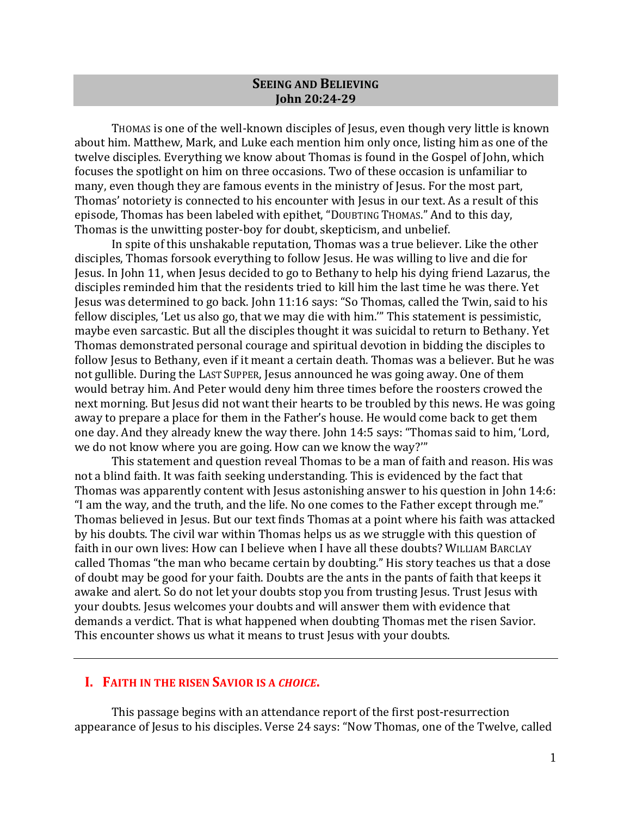### **SEEING AND BELIEVING John 20:24-29**

Thomas is one of the well-known disciples of Jesus, even though very little is known about him. Matthew, Mark, and Luke each mention him only once, listing him as one of the twelve disciples. Everything we know about Thomas is found in the Gospel of John, which focuses the spotlight on him on three occasions. Two of these occasion is unfamiliar to many, even though they are famous events in the ministry of Jesus. For the most part, Thomas' notoriety is connected to his encounter with Jesus in our text. As a result of this episode, Thomas has been labeled with epithet, "DOUBTING THOMAS." And to this day, Thomas is the unwitting poster-boy for doubt, skepticism, and unbelief.

In spite of this unshakable reputation, Thomas was a true believer. Like the other disciples, Thomas forsook everything to follow Jesus. He was willing to live and die for Jesus. In John 11, when Jesus decided to go to Bethany to help his dying friend Lazarus, the disciples reminded him that the residents tried to kill him the last time he was there. Yet Jesus was determined to go back. John 11:16 says: "So Thomas, called the Twin, said to his fellow disciples, 'Let us also go, that we may die with him.'" This statement is pessimistic, maybe even sarcastic. But all the disciples thought it was suicidal to return to Bethany. Yet Thomas demonstrated personal courage and spiritual devotion in bidding the disciples to follow Jesus to Bethany, even if it meant a certain death. Thomas was a believer. But he was not gullible. During the LAST SUPPER, Jesus announced he was going away. One of them would betray him. And Peter would deny him three times before the roosters crowed the next morning. But Jesus did not want their hearts to be troubled by this news. He was going away to prepare a place for them in the Father's house. He would come back to get them one day. And they already knew the way there. John 14:5 says: "Thomas said to him, 'Lord, we do not know where you are going. How can we know the way?""

This statement and question reveal Thomas to be a man of faith and reason. His was not a blind faith. It was faith seeking understanding. This is evidenced by the fact that Thomas was apparently content with Jesus astonishing answer to his question in John 14:6: "I am the way, and the truth, and the life. No one comes to the Father except through me." Thomas believed in Jesus. But our text finds Thomas at a point where his faith was attacked by his doubts. The civil war within Thomas helps us as we struggle with this question of faith in our own lives: How can I believe when I have all these doubts? WILLIAM BARCLAY called Thomas "the man who became certain by doubting." His story teaches us that a dose of doubt may be good for your faith. Doubts are the ants in the pants of faith that keeps it awake and alert. So do not let your doubts stop you from trusting Jesus. Trust Jesus with your doubts. Jesus welcomes your doubts and will answer them with evidence that demands a verdict. That is what happened when doubting Thomas met the risen Savior. This encounter shows us what it means to trust Jesus with your doubts.

# **I. FAITH IN THE RISEN SAVIOR IS A CHOICE.**

This passage begins with an attendance report of the first post-resurrection appearance of Jesus to his disciples. Verse 24 says: "Now Thomas, one of the Twelve, called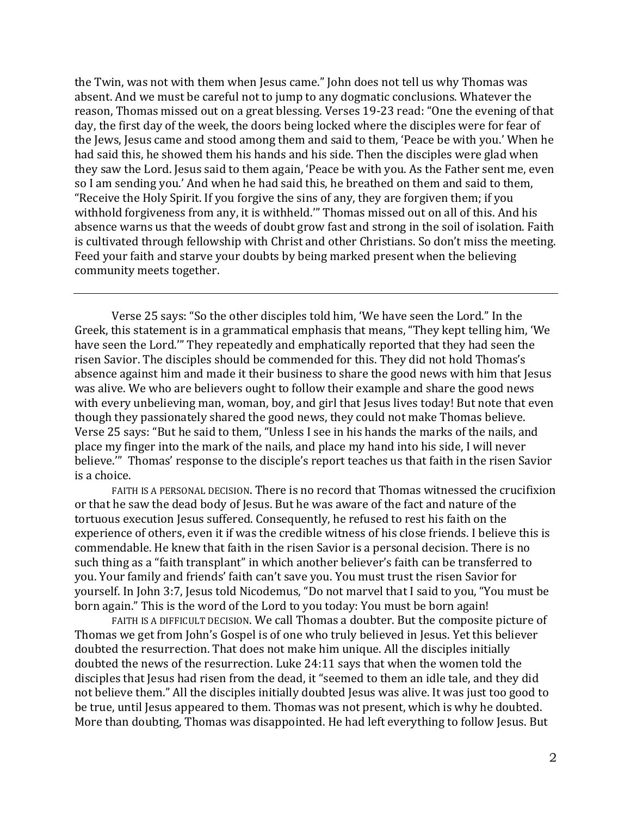the Twin, was not with them when Jesus came." John does not tell us why Thomas was absent. And we must be careful not to jump to any dogmatic conclusions. Whatever the reason, Thomas missed out on a great blessing. Verses 19-23 read: "One the evening of that day, the first day of the week, the doors being locked where the disciples were for fear of the Jews, Jesus came and stood among them and said to them, 'Peace be with you.' When he had said this, he showed them his hands and his side. Then the disciples were glad when they saw the Lord. Jesus said to them again, 'Peace be with you. As the Father sent me, even so I am sending you.' And when he had said this, he breathed on them and said to them, "Receive the Holy Spirit. If you forgive the sins of any, they are forgiven them; if you withhold forgiveness from any, it is withheld." Thomas missed out on all of this. And his absence warns us that the weeds of doubt grow fast and strong in the soil of isolation. Faith is cultivated through fellowship with Christ and other Christians. So don't miss the meeting. Feed your faith and starve your doubts by being marked present when the believing community meets together.

Verse 25 says: "So the other disciples told him, 'We have seen the Lord." In the Greek, this statement is in a grammatical emphasis that means, "They kept telling him, 'We have seen the Lord." They repeatedly and emphatically reported that they had seen the risen Savior. The disciples should be commended for this. They did not hold Thomas's absence against him and made it their business to share the good news with him that Jesus was alive. We who are believers ought to follow their example and share the good news with every unbelieving man, woman, boy, and girl that Jesus lives today! But note that even though they passionately shared the good news, they could not make Thomas believe. Verse 25 says: "But he said to them, "Unless I see in his hands the marks of the nails, and place my finger into the mark of the nails, and place my hand into his side, I will never believe." Thomas' response to the disciple's report teaches us that faith in the risen Savior is a choice.

FAITH IS A PERSONAL DECISION. There is no record that Thomas witnessed the crucifixion or that he saw the dead body of Jesus. But he was aware of the fact and nature of the tortuous execution Jesus suffered. Consequently, he refused to rest his faith on the experience of others, even it if was the credible witness of his close friends. I believe this is commendable. He knew that faith in the risen Savior is a personal decision. There is no such thing as a "faith transplant" in which another believer's faith can be transferred to you. Your family and friends' faith can't save you. You must trust the risen Savior for yourself. In John 3:7, Jesus told Nicodemus, "Do not marvel that I said to you, "You must be born again." This is the word of the Lord to you today: You must be born again!

FAITH IS A DIFFICULT DECISION. We call Thomas a doubter. But the composite picture of Thomas we get from John's Gospel is of one who truly believed in Jesus. Yet this believer doubted the resurrection. That does not make him unique. All the disciples initially doubted the news of the resurrection. Luke 24:11 says that when the women told the disciples that Jesus had risen from the dead, it "seemed to them an idle tale, and they did not believe them." All the disciples initially doubted Jesus was alive. It was just too good to be true, until Jesus appeared to them. Thomas was not present, which is why he doubted. More than doubting, Thomas was disappointed. He had left everything to follow Jesus. But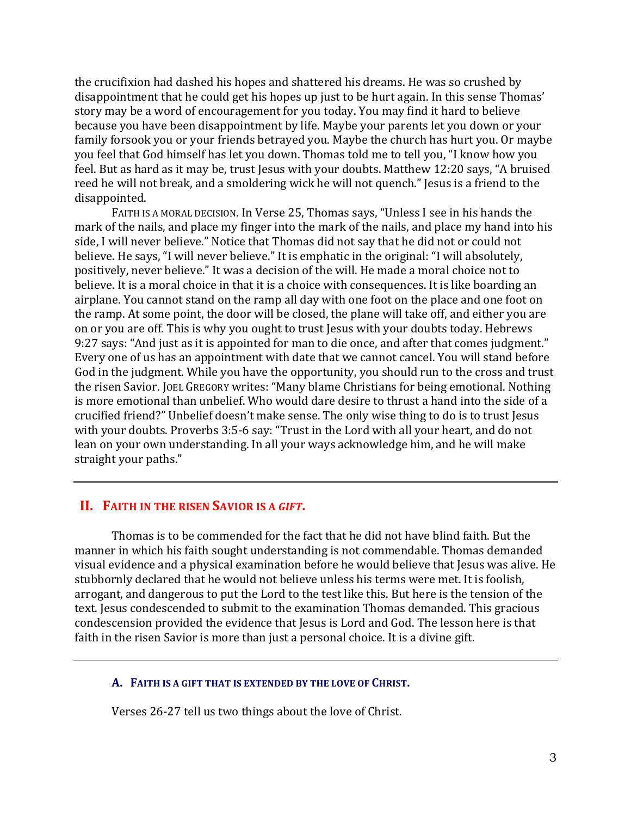the crucifixion had dashed his hopes and shattered his dreams. He was so crushed by disappointment that he could get his hopes up just to be hurt again. In this sense Thomas' story may be a word of encouragement for you today. You may find it hard to believe because you have been disappointment by life. Maybe your parents let you down or your family forsook you or your friends betrayed you. Maybe the church has hurt you. Or maybe you feel that God himself has let you down. Thomas told me to tell you, "I know how you feel. But as hard as it may be, trust Jesus with your doubts. Matthew 12:20 says, "A bruised reed he will not break, and a smoldering wick he will not quench." Jesus is a friend to the disappointed. 

FAITH IS A MORAL DECISION. In Verse 25, Thomas says, "Unless I see in his hands the mark of the nails, and place my finger into the mark of the nails, and place my hand into his side, I will never believe." Notice that Thomas did not say that he did not or could not believe. He says, "I will never believe." It is emphatic in the original: "I will absolutely, positively, never believe." It was a decision of the will. He made a moral choice not to believe. It is a moral choice in that it is a choice with consequences. It is like boarding an airplane. You cannot stand on the ramp all day with one foot on the place and one foot on the ramp. At some point, the door will be closed, the plane will take off, and either you are on or you are off. This is why you ought to trust Jesus with your doubts today. Hebrews 9:27 says: "And just as it is appointed for man to die once, and after that comes judgment." Every one of us has an appointment with date that we cannot cancel. You will stand before God in the judgment. While you have the opportunity, you should run to the cross and trust the risen Savior. JOEL GREGORY writes: "Many blame Christians for being emotional. Nothing is more emotional than unbelief. Who would dare desire to thrust a hand into the side of a crucified friend?" Unbelief doesn't make sense. The only wise thing to do is to trust Jesus with your doubts. Proverbs 3:5-6 say: "Trust in the Lord with all your heart, and do not lean on your own understanding. In all your ways acknowledge him, and he will make straight your paths."

# **II. FAITH IN THE RISEN SAVIOR IS A GIFT.**

Thomas is to be commended for the fact that he did not have blind faith. But the manner in which his faith sought understanding is not commendable. Thomas demanded visual evidence and a physical examination before he would believe that Jesus was alive. He stubbornly declared that he would not believe unless his terms were met. It is foolish, arrogant, and dangerous to put the Lord to the test like this. But here is the tension of the text. Jesus condescended to submit to the examination Thomas demanded. This gracious condescension provided the evidence that Jesus is Lord and God. The lesson here is that faith in the risen Savior is more than just a personal choice. It is a divine gift.

#### A. FAITH IS A GIFT THAT IS EXTENDED BY THE LOVE OF CHRIST.

Verses 26-27 tell us two things about the love of Christ.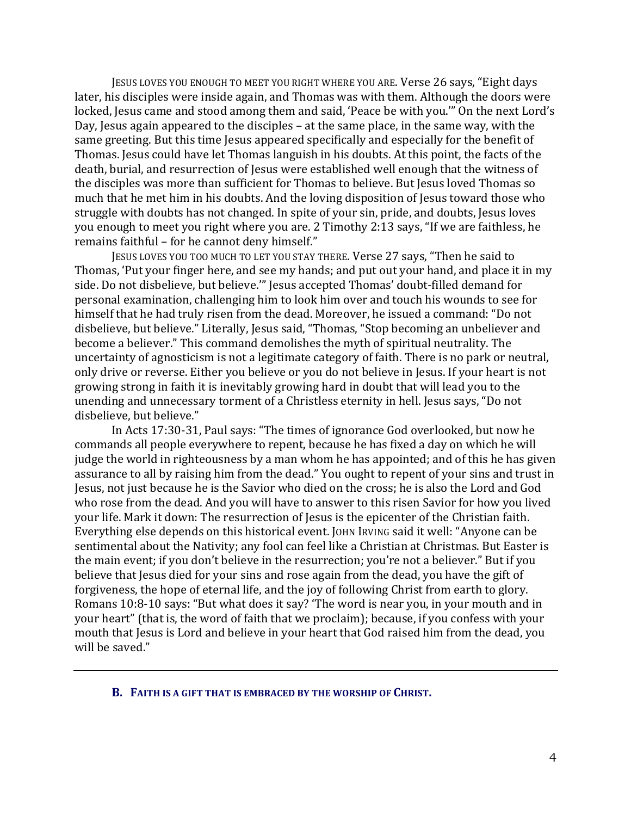JESUS LOVES YOU ENOUGH TO MEET YOU RIGHT WHERE YOU ARE. Verse 26 says, "Eight days later, his disciples were inside again, and Thomas was with them. Although the doors were locked, Jesus came and stood among them and said, 'Peace be with you.'" On the next Lord's Day, Jesus again appeared to the disciples  $-$  at the same place, in the same way, with the same greeting. But this time Jesus appeared specifically and especially for the benefit of Thomas. Jesus could have let Thomas languish in his doubts. At this point, the facts of the death, burial, and resurrection of Jesus were established well enough that the witness of the disciples was more than sufficient for Thomas to believe. But Jesus loved Thomas so much that he met him in his doubts. And the loving disposition of Jesus toward those who struggle with doubts has not changed. In spite of your sin, pride, and doubts, Jesus loves you enough to meet you right where you are. 2 Timothy 2:13 says, "If we are faithless, he remains faithful - for he cannot deny himself."

JESUS LOVES YOU TOO MUCH TO LET YOU STAY THERE. Verse 27 says, "Then he said to Thomas, 'Put your finger here, and see my hands; and put out your hand, and place it in my side. Do not disbelieve, but believe."" Jesus accepted Thomas' doubt-filled demand for personal examination, challenging him to look him over and touch his wounds to see for himself that he had truly risen from the dead. Moreover, he issued a command: "Do not disbelieve, but believe." Literally, Jesus said, "Thomas, "Stop becoming an unbeliever and become a believer." This command demolishes the myth of spiritual neutrality. The uncertainty of agnosticism is not a legitimate category of faith. There is no park or neutral, only drive or reverse. Either you believe or you do not believe in Jesus. If your heart is not growing strong in faith it is inevitably growing hard in doubt that will lead you to the unending and unnecessary torment of a Christless eternity in hell. Jesus says, "Do not disbelieve, but believe."

In Acts 17:30-31, Paul says: "The times of ignorance God overlooked, but now he commands all people everywhere to repent, because he has fixed a day on which he will judge the world in righteousness by a man whom he has appointed; and of this he has given assurance to all by raising him from the dead." You ought to repent of your sins and trust in Jesus, not just because he is the Savior who died on the cross; he is also the Lord and God who rose from the dead. And you will have to answer to this risen Savior for how you lived your life. Mark it down: The resurrection of Jesus is the epicenter of the Christian faith. Everything else depends on this historical event. JOHN IRVING said it well: "Anyone can be sentimental about the Nativity; any fool can feel like a Christian at Christmas. But Easter is the main event; if you don't believe in the resurrection; you're not a believer." But if you believe that Jesus died for your sins and rose again from the dead, you have the gift of forgiveness, the hope of eternal life, and the joy of following Christ from earth to glory. Romans 10:8-10 says: "But what does it say? 'The word is near you, in your mouth and in your heart" (that is, the word of faith that we proclaim); because, if you confess with your mouth that Jesus is Lord and believe in your heart that God raised him from the dead, you will be saved."

#### **B.** FAITH IS A GIFT THAT IS EMBRACED BY THE WORSHIP OF CHRIST.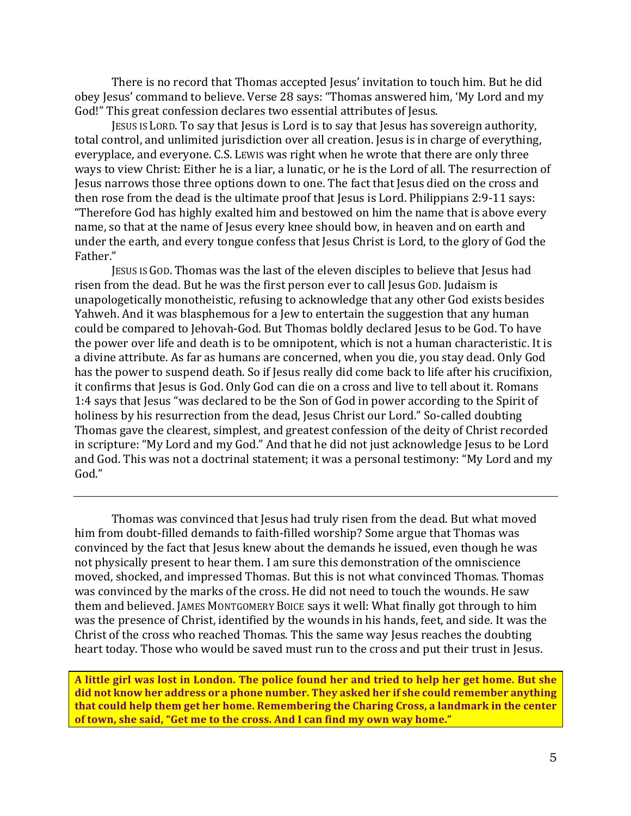There is no record that Thomas accepted Jesus' invitation to touch him. But he did obey Jesus' command to believe. Verse 28 says: "Thomas answered him, 'My Lord and my God!" This great confession declares two essential attributes of Jesus.

JESUS IS LORD. To say that Jesus is Lord is to say that Jesus has sovereign authority, total control, and unlimited jurisdiction over all creation. Jesus is in charge of everything, everyplace, and everyone. C.S. LEWIS was right when he wrote that there are only three ways to view Christ: Either he is a liar, a lunatic, or he is the Lord of all. The resurrection of Jesus narrows those three options down to one. The fact that Jesus died on the cross and then rose from the dead is the ultimate proof that Jesus is Lord. Philippians  $2:9-11$  says: "Therefore God has highly exalted him and bestowed on him the name that is above every name, so that at the name of Jesus every knee should bow, in heaven and on earth and under the earth, and every tongue confess that Jesus Christ is Lord, to the glory of God the Father."

JESUS IS GOD. Thomas was the last of the eleven disciples to believe that Jesus had risen from the dead. But he was the first person ever to call Jesus God. Judaism is unapologetically monotheistic, refusing to acknowledge that any other God exists besides Yahweh. And it was blasphemous for a Jew to entertain the suggestion that any human could be compared to Jehovah-God. But Thomas boldly declared Jesus to be God. To have the power over life and death is to be omnipotent, which is not a human characteristic. It is a divine attribute. As far as humans are concerned, when you die, you stay dead. Only God has the power to suspend death. So if Jesus really did come back to life after his crucifixion, it confirms that Jesus is God. Only God can die on a cross and live to tell about it. Romans 1:4 says that Jesus "was declared to be the Son of God in power according to the Spirit of holiness by his resurrection from the dead, Jesus Christ our Lord." So-called doubting Thomas gave the clearest, simplest, and greatest confession of the deity of Christ recorded in scripture: "My Lord and my God." And that he did not just acknowledge Jesus to be Lord and God. This was not a doctrinal statement; it was a personal testimony: "My Lord and my God."

Thomas was convinced that Jesus had truly risen from the dead. But what moved him from doubt-filled demands to faith-filled worship? Some argue that Thomas was convinced by the fact that Jesus knew about the demands he issued, even though he was not physically present to hear them. I am sure this demonstration of the omniscience moved, shocked, and impressed Thomas. But this is not what convinced Thomas. Thomas was convinced by the marks of the cross. He did not need to touch the wounds. He saw them and believed. JAMES MONTGOMERY BOICE says it well: What finally got through to him was the presence of Christ, identified by the wounds in his hands, feet, and side. It was the Christ of the cross who reached Thomas. This the same way Jesus reaches the doubting heart today. Those who would be saved must run to the cross and put their trust in Jesus.

A little girl was lost in London. The police found her and tried to help her get home. But she did not know her address or a phone number. They asked her if she could remember anything that could help them get her home. Remembering the Charing Cross, a landmark in the center of town, she said, "Get me to the cross. And I can find my own way home."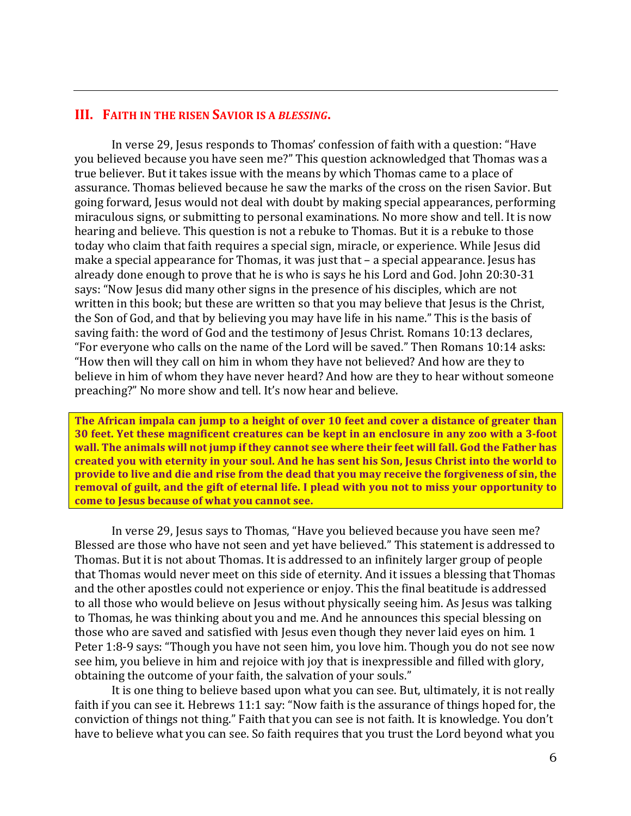### **III. FAITH IN THE RISEN SAVIOR IS A BLESSING.**

In verse 29, Jesus responds to Thomas' confession of faith with a question: "Have you believed because you have seen me?" This question acknowledged that Thomas was a true believer. But it takes issue with the means by which Thomas came to a place of assurance. Thomas believed because he saw the marks of the cross on the risen Savior. But going forward, Jesus would not deal with doubt by making special appearances, performing miraculous signs, or submitting to personal examinations. No more show and tell. It is now hearing and believe. This question is not a rebuke to Thomas. But it is a rebuke to those today who claim that faith requires a special sign, miracle, or experience. While Jesus did make a special appearance for Thomas, it was just that  $-$  a special appearance. Jesus has already done enough to prove that he is who is says he his Lord and God. John 20:30-31 says: "Now Jesus did many other signs in the presence of his disciples, which are not written in this book; but these are written so that you may believe that Jesus is the Christ, the Son of God, and that by believing you may have life in his name." This is the basis of saving faith: the word of God and the testimony of Jesus Christ. Romans 10:13 declares, "For everyone who calls on the name of the Lord will be saved." Then Romans 10:14 asks: "How then will they call on him in whom they have not believed? And how are they to believe in him of whom they have never heard? And how are they to hear without someone preaching?" No more show and tell. It's now hear and believe.

The African impala can jump to a height of over 10 feet and cover a distance of greater than **30** feet. Yet these magnificent creatures can be kept in an enclosure in any zoo with a 3-foot wall. The animals will not jump if they cannot see where their feet will fall. God the Father has **created you with eternity in your soul. And he has sent his Son, Jesus Christ into the world to provide to live and die and rise from the dead that you may receive the forgiveness of sin, the** removal of guilt, and the gift of eternal life. I plead with you not to miss your opportunity to **come to Jesus because of what you cannot see.** 

In verse 29, Jesus says to Thomas, "Have you believed because you have seen me? Blessed are those who have not seen and yet have believed." This statement is addressed to Thomas. But it is not about Thomas. It is addressed to an infinitely larger group of people that Thomas would never meet on this side of eternity. And it issues a blessing that Thomas and the other apostles could not experience or enjoy. This the final beatitude is addressed to all those who would believe on Jesus without physically seeing him. As Jesus was talking to Thomas, he was thinking about you and me. And he announces this special blessing on those who are saved and satisfied with Jesus even though they never laid eyes on him. 1 Peter 1:8-9 says: "Though you have not seen him, you love him. Though you do not see now see him, you believe in him and rejoice with joy that is inexpressible and filled with glory, obtaining the outcome of your faith, the salvation of your souls."

It is one thing to believe based upon what you can see. But, ultimately, it is not really faith if you can see it. Hebrews 11:1 say: "Now faith is the assurance of things hoped for, the conviction of things not thing." Faith that you can see is not faith. It is knowledge. You don't have to believe what you can see. So faith requires that you trust the Lord beyond what you